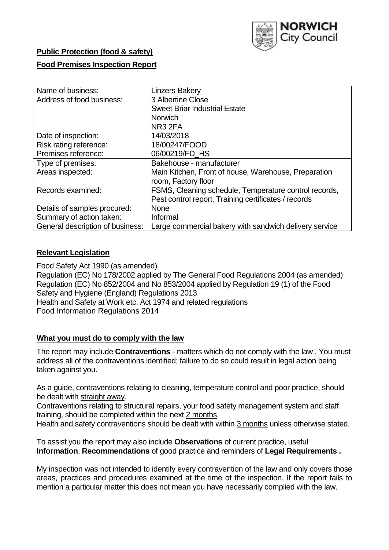

## **Public Protection (food & safety)**

## **Food Premises Inspection Report**

| Name of business:                | <b>Linzers Bakery</b>                                  |
|----------------------------------|--------------------------------------------------------|
| Address of food business:        | 3 Albertine Close                                      |
|                                  | <b>Sweet Briar Industrial Estate</b>                   |
|                                  | <b>Norwich</b>                                         |
|                                  | NR <sub>3</sub> 2FA                                    |
| Date of inspection:              | 14/03/2018                                             |
| Risk rating reference:           | 18/00247/FOOD                                          |
| Premises reference:              | 06/00219/FD HS                                         |
| Type of premises:                | Bakehouse - manufacturer                               |
| Areas inspected:                 | Main Kitchen, Front of house, Warehouse, Preparation   |
|                                  | room, Factory floor                                    |
| Records examined:                | FSMS, Cleaning schedule, Temperature control records,  |
|                                  | Pest control report, Training certificates / records   |
| Details of samples procured:     | <b>None</b>                                            |
| Summary of action taken:         | Informal                                               |
| General description of business: | Large commercial bakery with sandwich delivery service |

#### **Relevant Legislation**

Food Safety Act 1990 (as amended) Regulation (EC) No 178/2002 applied by The General Food Regulations 2004 (as amended) Regulation (EC) No 852/2004 and No 853/2004 applied by Regulation 19 (1) of the Food Safety and Hygiene (England) Regulations 2013 Health and Safety at Work etc. Act 1974 and related regulations Food Information Regulations 2014

#### **What you must do to comply with the law**

The report may include **Contraventions** - matters which do not comply with the law . You must address all of the contraventions identified; failure to do so could result in legal action being taken against you.

As a guide, contraventions relating to cleaning, temperature control and poor practice, should be dealt with straight away.

Contraventions relating to structural repairs, your food safety management system and staff training, should be completed within the next 2 months.

Health and safety contraventions should be dealt with within 3 months unless otherwise stated.

To assist you the report may also include **Observations** of current practice, useful **Information**, **Recommendations** of good practice and reminders of **Legal Requirements .**

My inspection was not intended to identify every contravention of the law and only covers those areas, practices and procedures examined at the time of the inspection. If the report fails to mention a particular matter this does not mean you have necessarily complied with the law.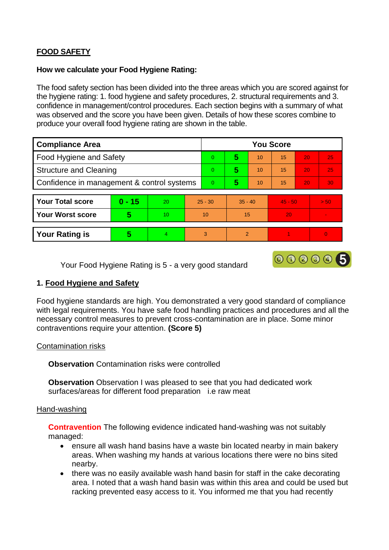# **FOOD SAFETY**

#### **How we calculate your Food Hygiene Rating:**

The food safety section has been divided into the three areas which you are scored against for the hygiene rating: 1. food hygiene and safety procedures, 2. structural requirements and 3. confidence in management/control procedures. Each section begins with a summary of what was observed and the score you have been given. Details of how these scores combine to produce your overall food hygiene rating are shown in the table.

| <b>Compliance Area</b>                     |          |    |                | <b>You Score</b> |                |    |           |    |      |  |  |
|--------------------------------------------|----------|----|----------------|------------------|----------------|----|-----------|----|------|--|--|
| <b>Food Hygiene and Safety</b>             |          |    |                | 0                | 5              | 10 | 15        | 20 | 25   |  |  |
| <b>Structure and Cleaning</b>              |          |    | 0              | 5                | 10             | 15 | 20        | 25 |      |  |  |
| Confidence in management & control systems |          |    | $\overline{0}$ | 5                | 10             | 15 | 20        | 30 |      |  |  |
|                                            |          |    |                |                  |                |    |           |    |      |  |  |
| <b>Your Total score</b>                    | $0 - 15$ | 20 | $25 - 30$      |                  | $35 - 40$      |    | $45 - 50$ |    | > 50 |  |  |
| <b>Your Worst score</b>                    | 5        | 10 | 10             |                  | 15             |    | 20        |    |      |  |  |
|                                            |          |    |                |                  |                |    |           |    |      |  |  |
| <b>Your Rating is</b>                      | 5        | 4  | 3              |                  | $\overline{2}$ |    |           |    | 0    |  |  |

Your Food Hygiene Rating is 5 - a very good standard

# 000005

# **1. Food Hygiene and Safety**

Food hygiene standards are high. You demonstrated a very good standard of compliance with legal requirements. You have safe food handling practices and procedures and all the necessary control measures to prevent cross-contamination are in place. Some minor contraventions require your attention. **(Score 5)**

## Contamination risks

**Observation** Contamination risks were controlled

**Observation** Observation I was pleased to see that you had dedicated work surfaces/areas for different food preparation i.e raw meat

## Hand-washing

**Contravention** The following evidence indicated hand-washing was not suitably managed:

- ensure all wash hand basins have a waste bin located nearby in main bakery areas. When washing my hands at various locations there were no bins sited nearby.
- there was no easily available wash hand basin for staff in the cake decorating area. I noted that a wash hand basin was within this area and could be used but racking prevented easy access to it. You informed me that you had recently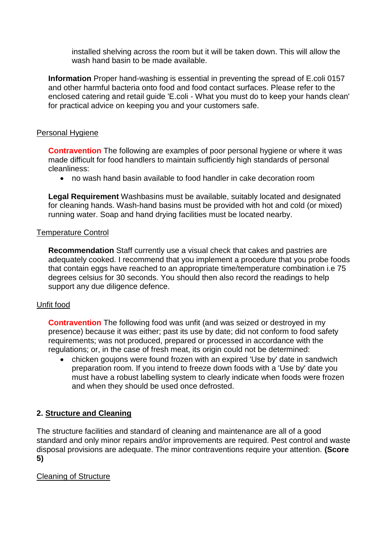installed shelving across the room but it will be taken down. This will allow the wash hand basin to be made available.

**Information** Proper hand-washing is essential in preventing the spread of E.coli 0157 and other harmful bacteria onto food and food contact surfaces. Please refer to the enclosed catering and retail guide 'E.coli - What you must do to keep your hands clean' for practical advice on keeping you and your customers safe.

## Personal Hygiene

**Contravention** The following are examples of poor personal hygiene or where it was made difficult for food handlers to maintain sufficiently high standards of personal cleanliness:

no wash hand basin available to food handler in cake decoration room

**Legal Requirement** Washbasins must be available, suitably located and designated for cleaning hands. Wash-hand basins must be provided with hot and cold (or mixed) running water. Soap and hand drying facilities must be located nearby.

#### Temperature Control

**Recommendation** Staff currently use a visual check that cakes and pastries are adequately cooked. I recommend that you implement a procedure that you probe foods that contain eggs have reached to an appropriate time/temperature combination i.e 75 degrees celsius for 30 seconds. You should then also record the readings to help support any due diligence defence.

## Unfit food

**Contravention** The following food was unfit (and was seized or destroyed in my presence) because it was either; past its use by date; did not conform to food safety requirements; was not produced, prepared or processed in accordance with the regulations; or, in the case of fresh meat, its origin could not be determined:

 chicken goujons were found frozen with an expired 'Use by' date in sandwich preparation room. If you intend to freeze down foods with a 'Use by' date you must have a robust labelling system to clearly indicate when foods were frozen and when they should be used once defrosted.

## **2. Structure and Cleaning**

The structure facilities and standard of cleaning and maintenance are all of a good standard and only minor repairs and/or improvements are required. Pest control and waste disposal provisions are adequate. The minor contraventions require your attention. **(Score 5)**

## Cleaning of Structure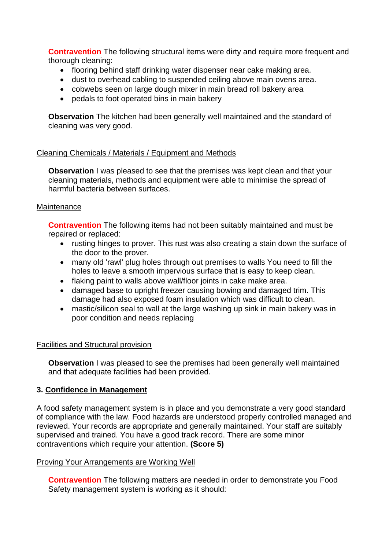**Contravention** The following structural items were dirty and require more frequent and thorough cleaning:

- flooring behind staff drinking water dispenser near cake making area.
- dust to overhead cabling to suspended ceiling above main ovens area.
- cobwebs seen on large dough mixer in main bread roll bakery area
- pedals to foot operated bins in main bakery

**Observation** The kitchen had been generally well maintained and the standard of cleaning was very good.

## Cleaning Chemicals / Materials / Equipment and Methods

**Observation** I was pleased to see that the premises was kept clean and that your cleaning materials, methods and equipment were able to minimise the spread of harmful bacteria between surfaces.

## **Maintenance**

**Contravention** The following items had not been suitably maintained and must be repaired or replaced:

- rusting hinges to prover. This rust was also creating a stain down the surface of the door to the prover.
- many old 'rawl' plug holes through out premises to walls You need to fill the holes to leave a smooth impervious surface that is easy to keep clean.
- flaking paint to walls above wall/floor joints in cake make area.
- damaged base to upright freezer causing bowing and damaged trim. This damage had also exposed foam insulation which was difficult to clean.
- mastic/silicon seal to wall at the large washing up sink in main bakery was in poor condition and needs replacing

## Facilities and Structural provision

**Observation** I was pleased to see the premises had been generally well maintained and that adequate facilities had been provided.

## **3. Confidence in Management**

A food safety management system is in place and you demonstrate a very good standard of compliance with the law. Food hazards are understood properly controlled managed and reviewed. Your records are appropriate and generally maintained. Your staff are suitably supervised and trained. You have a good track record. There are some minor contraventions which require your attention. **(Score 5)**

## Proving Your Arrangements are Working Well

**Contravention** The following matters are needed in order to demonstrate you Food Safety management system is working as it should: